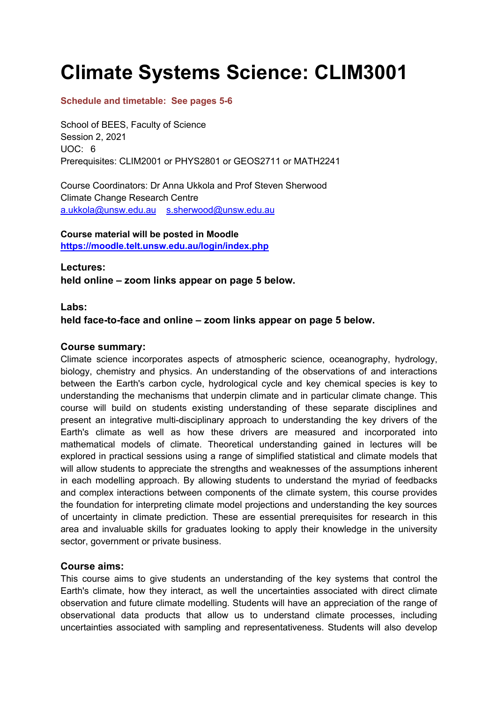# **Climate Systems Science: CLIM3001**

# **Schedule and timetable: See pages 5-6**

School of BEES, Faculty of Science Session 2, 2021 UOC: 6 Prerequisites: CLIM2001 or PHYS2801 or GEOS2711 or MATH2241

Course Coordinators: Dr Anna Ukkola and Prof Steven Sherwood Climate Change Research Centre a.ukkola@unsw.edu.au s.sherwood@unsw.edu.au

# **Course material will be posted in Moodle**

**https://moodle.telt.unsw.edu.au/login/index.php**

**Lectures:**

**held online – zoom links appear on page 5 below.**

# **Labs:**

**held face-to-face and online – zoom links appear on page 5 below.**

# **Course summary:**

Climate science incorporates aspects of atmospheric science, oceanography, hydrology, biology, chemistry and physics. An understanding of the observations of and interactions between the Earth's carbon cycle, hydrological cycle and key chemical species is key to understanding the mechanisms that underpin climate and in particular climate change. This course will build on students existing understanding of these separate disciplines and present an integrative multi-disciplinary approach to understanding the key drivers of the Earth's climate as well as how these drivers are measured and incorporated into mathematical models of climate. Theoretical understanding gained in lectures will be explored in practical sessions using a range of simplified statistical and climate models that will allow students to appreciate the strengths and weaknesses of the assumptions inherent in each modelling approach. By allowing students to understand the myriad of feedbacks and complex interactions between components of the climate system, this course provides the foundation for interpreting climate model projections and understanding the key sources of uncertainty in climate prediction. These are essential prerequisites for research in this area and invaluable skills for graduates looking to apply their knowledge in the university sector, government or private business.

# **Course aims:**

This course aims to give students an understanding of the key systems that control the Earth's climate, how they interact, as well the uncertainties associated with direct climate observation and future climate modelling. Students will have an appreciation of the range of observational data products that allow us to understand climate processes, including uncertainties associated with sampling and representativeness. Students will also develop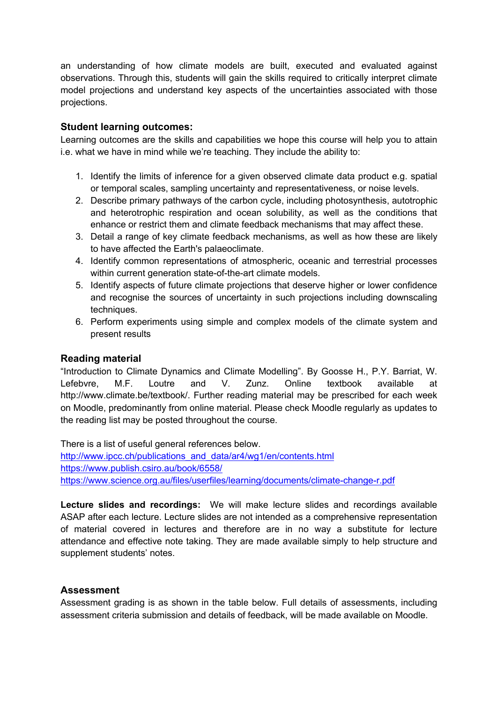an understanding of how climate models are built, executed and evaluated against observations. Through this, students will gain the skills required to critically interpret climate model projections and understand key aspects of the uncertainties associated with those projections.

### **Student learning outcomes:**

Learning outcomes are the skills and capabilities we hope this course will help you to attain i.e. what we have in mind while we're teaching. They include the ability to:

- 1. Identify the limits of inference for a given observed climate data product e.g. spatial or temporal scales, sampling uncertainty and representativeness, or noise levels.
- 2. Describe primary pathways of the carbon cycle, including photosynthesis, autotrophic and heterotrophic respiration and ocean solubility, as well as the conditions that enhance or restrict them and climate feedback mechanisms that may affect these.
- 3. Detail a range of key climate feedback mechanisms, as well as how these are likely to have affected the Earth's palaeoclimate.
- 4. Identify common representations of atmospheric, oceanic and terrestrial processes within current generation state-of-the-art climate models.
- 5. Identify aspects of future climate projections that deserve higher or lower confidence and recognise the sources of uncertainty in such projections including downscaling techniques.
- 6. Perform experiments using simple and complex models of the climate system and present results

#### **Reading material**

"Introduction to Climate Dynamics and Climate Modelling". By Goosse H., P.Y. Barriat, W. Lefebvre, M.F. Loutre and V. Zunz. Online textbook available at http://www.climate.be/textbook/. Further reading material may be prescribed for each week on Moodle, predominantly from online material. Please check Moodle regularly as updates to the reading list may be posted throughout the course.

There is a list of useful general references below. http://www.ipcc.ch/publications\_and\_data/ar4/wg1/en/contents.html https://www.publish.csiro.au/book/6558/ https://www.science.org.au/files/userfiles/learning/documents/climate-change-r.pdf

**Lecture slides and recordings:** We will make lecture slides and recordings available ASAP after each lecture. Lecture slides are not intended as a comprehensive representation of material covered in lectures and therefore are in no way a substitute for lecture attendance and effective note taking. They are made available simply to help structure and supplement students' notes.

#### **Assessment**

Assessment grading is as shown in the table below. Full details of assessments, including assessment criteria submission and details of feedback, will be made available on Moodle.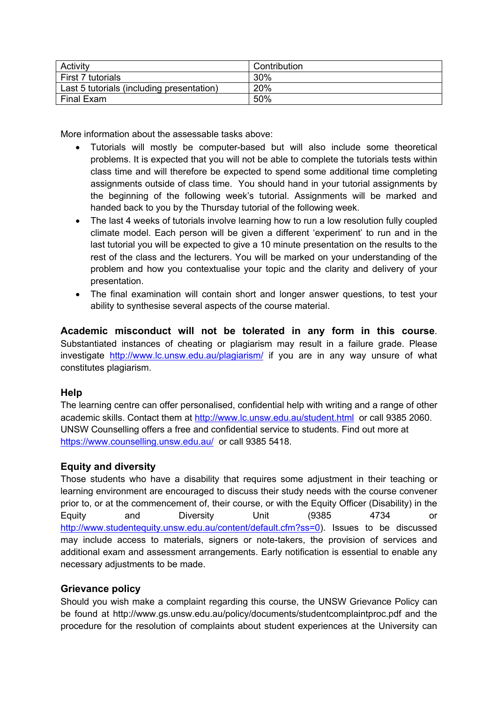| Activity                                  | Contribution |
|-------------------------------------------|--------------|
| First 7 tutorials                         | 30%          |
| Last 5 tutorials (including presentation) | 20%          |
| Final Exam                                | 50%          |

More information about the assessable tasks above:

- Tutorials will mostly be computer-based but will also include some theoretical problems. It is expected that you will not be able to complete the tutorials tests within class time and will therefore be expected to spend some additional time completing assignments outside of class time. You should hand in your tutorial assignments by the beginning of the following week's tutorial. Assignments will be marked and handed back to you by the Thursday tutorial of the following week.
- The last 4 weeks of tutorials involve learning how to run a low resolution fully coupled climate model. Each person will be given a different 'experiment' to run and in the last tutorial you will be expected to give a 10 minute presentation on the results to the rest of the class and the lecturers. You will be marked on your understanding of the problem and how you contextualise your topic and the clarity and delivery of your presentation.
- The final examination will contain short and longer answer questions, to test your ability to synthesise several aspects of the course material.

**Academic misconduct will not be tolerated in any form in this course**. Substantiated instances of cheating or plagiarism may result in a failure grade. Please investigate http://www.lc.unsw.edu.au/plagiarism/ if you are in any way unsure of what constitutes plagiarism.

# **Help**

The learning centre can offer personalised, confidential help with writing and a range of other academic skills. Contact them at http://www.lc.unsw.edu.au/student.html or call 9385 2060. UNSW Counselling offers a free and confidential service to students. Find out more at https://www.counselling.unsw.edu.au/ or call 9385 5418.

# **Equity and diversity**

Those students who have a disability that requires some adjustment in their teaching or learning environment are encouraged to discuss their study needs with the course convener prior to, or at the commencement of, their course, or with the Equity Officer (Disability) in the Equity and Diversity Unit (9385 4734 or http://www.studentequity.unsw.edu.au/content/default.cfm?ss=0). Issues to be discussed may include access to materials, signers or note-takers, the provision of services and additional exam and assessment arrangements. Early notification is essential to enable any necessary adjustments to be made.

#### **Grievance policy**

Should you wish make a complaint regarding this course, the UNSW Grievance Policy can be found at http://www.gs.unsw.edu.au/policy/documents/studentcomplaintproc.pdf and the procedure for the resolution of complaints about student experiences at the University can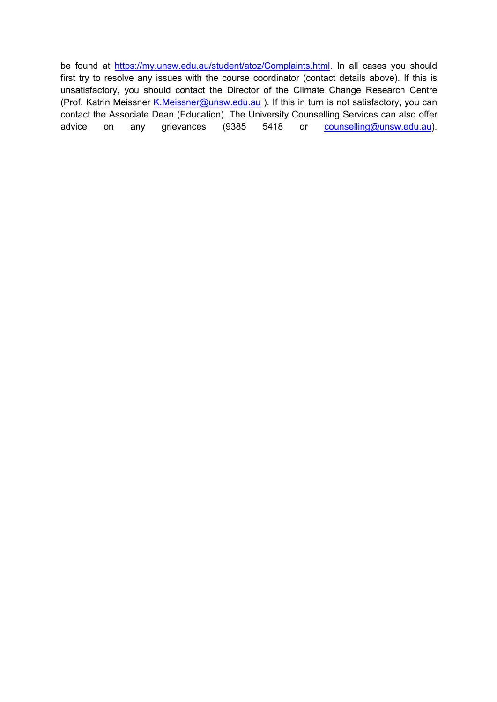be found at https://my.unsw.edu.au/student/atoz/Complaints.html. In all cases you should first try to resolve any issues with the course coordinator (contact details above). If this is unsatisfactory, you should contact the Director of the Climate Change Research Centre (Prof. Katrin Meissner K.Meissner@unsw.edu.au ). If this in turn is not satisfactory, you can contact the Associate Dean (Education). The University Counselling Services can also offer advice on any grievances (9385 5418 or counselling@unsw.edu.au).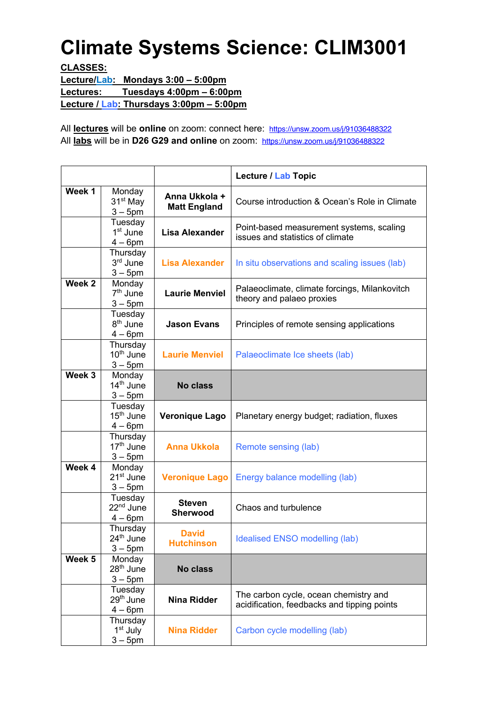# **Climate Systems Science: CLIM3001**

**CLASSES:**

**Lecture/Lab: Mondays 3:00 – 5:00pm Lectures: Tuesdays 4:00pm – 6:00pm Lecture / Lab: Thursdays 3:00pm – 5:00pm**

All **lectures** will be **online** on zoom: connect here: https://unsw.zoom.us/j/91036488322 All **labs** will be in **D26 G29 and online** on zoom: https://unsw.zoom.us/j/91036488322

|        |                                                 |                                      | Lecture / Lab Topic                                                                  |
|--------|-------------------------------------------------|--------------------------------------|--------------------------------------------------------------------------------------|
| Week 1 | Monday<br>31 <sup>st</sup> May<br>$3-5$ pm      | Anna Ukkola +<br><b>Matt England</b> | Course introduction & Ocean's Role in Climate                                        |
|        | Tuesday<br>$1st$ June<br>$4-6$ pm               | <b>Lisa Alexander</b>                | Point-based measurement systems, scaling<br>issues and statistics of climate         |
|        | Thursday<br>3rd June<br>$3-5$ pm                | <b>Lisa Alexander</b>                | In situ observations and scaling issues (lab)                                        |
| Week 2 | Monday<br>$7th$ June<br>$3-5$ pm                | <b>Laurie Menviel</b>                | Palaeoclimate, climate forcings, Milankovitch<br>theory and palaeo proxies           |
|        | Tuesday<br>8 <sup>th</sup> June<br>$4-6$ pm     | <b>Jason Evans</b>                   | Principles of remote sensing applications                                            |
|        | Thursday<br>$10th$ June<br>$3 - 5$ pm           | <b>Laurie Menviel</b>                | Palaeoclimate Ice sheets (lab)                                                       |
| Week 3 | Monday<br>14 <sup>th</sup> June<br>$3 - 5$ pm   | <b>No class</b>                      |                                                                                      |
|        | Tuesday<br>$15th$ June<br>$4-6$ pm              | <b>Veronique Lago</b>                | Planetary energy budget; radiation, fluxes                                           |
|        | Thursday<br>17 <sup>th</sup> June<br>$3 - 5$ pm | <b>Anna Ukkola</b>                   | Remote sensing (lab)                                                                 |
| Week 4 | Monday<br>21 <sup>st</sup> June<br>$3 - 5$ pm   | <b>Veronique Lago</b>                | Energy balance modelling (lab)                                                       |
|        | Tuesday<br>22 <sup>nd</sup> June<br>$4-6$ pm    | <b>Steven</b><br><b>Sherwood</b>     | Chaos and turbulence                                                                 |
|        | Thursday<br>24 <sup>th</sup> June<br>$3 - 5$ pm | <b>David</b><br><b>Hutchinson</b>    | Idealised ENSO modelling (lab)                                                       |
| Week 5 | Monday<br>28 <sup>th</sup> June<br>$3-5$ pm     | <b>No class</b>                      |                                                                                      |
|        | Tuesday<br>29 <sup>th</sup> June<br>$4-6$ pm    | <b>Nina Ridder</b>                   | The carbon cycle, ocean chemistry and<br>acidification, feedbacks and tipping points |
|        | Thursday<br>1 <sup>st</sup> July<br>$3-5$ pm    | <b>Nina Ridder</b>                   | Carbon cycle modelling (lab)                                                         |